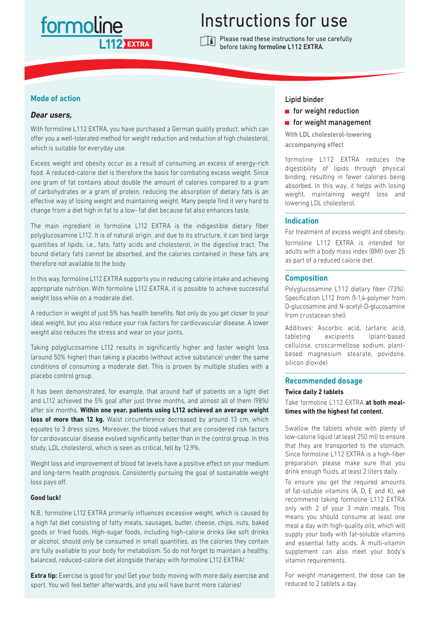## formoline **12 EXTRA**

# Instructions for use

Please read these instructions for use carefully before taking formoline L112 EXTRA.

#### **Mode of action**

#### *Dear users,*

With formoline L112 EXTRA, you have purchased a German quality product, which can offer you a well-tolerated method for weight reduction and reduction of high cholesterol, which is suitable for everyday use.

Excess weight and obesity occur as a result of consuming an excess of energy-rich food. A reduced-calorie diet is therefore the basis for combating excess weight. Since one gram of fat contains about double the amount of calories compared to a gram of carbohydrates or a gram of protein, reducing the absorption of dietary fats is an effective way of losing weight and maintaining weight. Many people find it very hard to change from a diet high in fat to a low- fat diet because fat also enhances taste.

The main ingredient in formoline L112 EXTRA is the indigestible dietary fiber polyglucosamine L112. It is of natural origin, and due to its structure, it can bind large quantities of lipids, i.e., fats, fatty acids and cholesterol, in the digestive tract. The bound dietary fats cannot be absorbed, and the calories contained in these fats are therefore not available to the body.

In this way, formoline L112 EXTRA supports you in reducing calorie intake and achieving appropriate nutrition. With formoline L112 EXTRA, it is possible to achieve successful weight loss while on a moderate diet.

A reduction in weight of just 5% has health benefits. Not only do you get closer to your ideal weight, but you also reduce your risk factors for cardiovascular disease. A lower weight also reduces the stress and wear on your joints.

Taking polyglucosamine L112 results in significantly higher and faster weight loss (around 50% higher) than taking a placebo (without active substance) under the same conditions of consuming a moderate diet. This is proven by multiple studies with a placebo control group.

It has been demonstrated, for example, that around half of patients on a light diet and L112 achieved the 5% goal after just three months, and almost all of them (98%) after six months. **Within one year, patients using L112 achieved an average weight**  loss of more than 12 kg. Waist circumference decreased by around 13 cm, which equates to 3 dress sizes. Moreover, the blood values that are considered risk factors for cardiovascular disease evolved significantly better than in the control group. In this study, LDL cholesterol, which is seen as critical, fell by 12.9%.

Weight loss and improvement of blood fat levels have a positive effect on your medium and long-term health prognosis. Consistently pursuing the goal of sustainable weight loss pays off.

#### **Good luck!**

N.B.: formoline L112 EXTRA primarily influences excessive weight, which is caused by a high fat diet consisting of fatty meats, sausages, butter, cheese, chips, nuts, baked goods or fried foods. High-sugar foods, including high-calorie drinks like soft drinks or alcohol, should only be consumed in small quantities, as the calories they contain are fully available to your body for metabolism. So do not forget to maintain a healthy, balanced, reduced-calorie diet alongside therapy with formoline L112 EXTRA!

**Extra tip:** Exercise is good for you! Get your body moving with more daily exercise and sport. You will feel better afterwards, and you will have burnt more calories!

#### Lipid binder

- $\blacksquare$  for weight reduction
- **for weight management**

With LDL cholesterol-lowering accompanying effect

formoline L112 EXTRA reduces the digestibility of lipids through physical binding, resulting in fewer calories being absorbed. In this way, it helps with losing weight, maintaining weight loss and lowering LDL cholesterol.

#### **Indication**

For treatment of excess weight and obesity. formoline L112 EXTRA is intended for adults with a body mass index (BMI) over 25 as part of a reduced calorie diet.

#### **Composition**

Polyglucosamine L112 dietary fiber (73%): Specification L112 from ß-1,4-polymer from D-glucosamine and N-acetyl-D-glucosamine from crustacean shell

Additives: Ascorbic acid, tartaric acid, tableting excipients (plant-based cellulose, croscarmellose sodium, plantbased magnesium stearate, povidone, silicon dioxide)

### **Recommended dosage**

#### **Twice daily 2 tablets**

Take formoline L112 EXTRA **at both mealtimes with the highest fat content.**

Swallow the tablets whole with plenty of low-calorie liquid (at least 250 ml) to ensure that they are transported to the stomach. Since formoline L112 EXTRA is a high-fiber preparation, please make sure that you drink enough fluids, at least 2 liters daily.

To ensure you get the required amounts of fat-soluble vitamins (A, D, E and K), we recommend taking formoline L112 EXTRA only with 2 of your 3 main meals. This means you should consume at least one meal a day with high-quality oils, which will supply your body with fat-soluble vitamins and essential fatty acids. A multi-vitamin supplement can also meet your body's vitamin requirements.

For weight management, the dose can be reduced to 2 tablets a day.